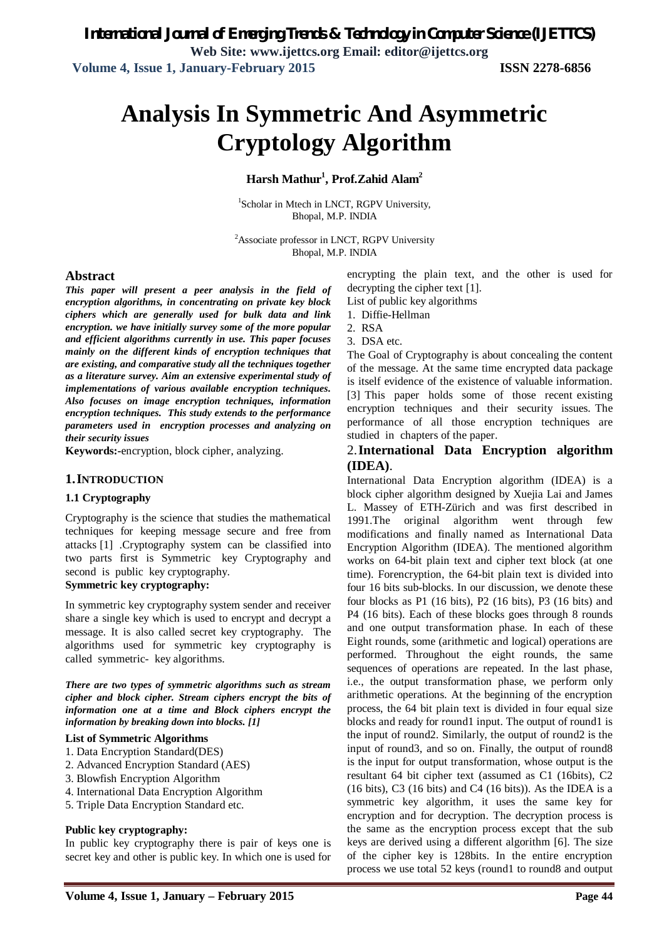# **Analysis In Symmetric And Asymmetric Cryptology Algorithm**

# **Harsh Mathur<sup>1</sup> , Prof.Zahid Alam<sup>2</sup>**

<sup>1</sup>Scholar in Mtech in LNCT, RGPV University, Bhopal, M.P. INDIA

<sup>2</sup>Associate professor in LNCT, RGPV University Bhopal, M.P. INDIA

#### **Abstract**

*This paper will present a peer analysis in the field of encryption algorithms, in concentrating on private key block ciphers which are generally used for bulk data and link encryption. we have initially survey some of the more popular and efficient algorithms currently in use. This paper focuses mainly on the different kinds of encryption techniques that are existing, and comparative study all the techniques together as a literature survey. Aim an extensive experimental study of implementations of various available encryption techniques. Also focuses on image encryption techniques, information encryption techniques. This study extends to the performance parameters used in encryption processes and analyzing on their security issues*

**Keywords:-**encryption, block cipher, analyzing.

#### **1.INTRODUCTION**

#### **1.1 Cryptography**

Cryptography is the science that studies the mathematical techniques for keeping message secure and free from attacks [1] .Cryptography system can be classified into two parts first is Symmetric key Cryptography and second is public key cryptography.

#### **Symmetric key cryptography:**

In symmetric key cryptography system sender and receiver share a single key which is used to encrypt and decrypt a message. It is also called secret key cryptography. The algorithms used for symmetric key cryptography is called symmetric- key algorithms.

*There are two types of symmetric algorithms such as stream cipher and block cipher. Stream ciphers encrypt the bits of information one at a time and Block ciphers encrypt the information by breaking down into blocks. [1]* 

#### **List of Symmetric Algorithms**

- 1. Data Encryption Standard(DES)
- 2. Advanced Encryption Standard (AES)
- 3. Blowfish Encryption Algorithm
- 4. International Data Encryption Algorithm
- 5. Triple Data Encryption Standard etc.

#### **Public key cryptography:**

In public key cryptography there is pair of keys one is secret key and other is public key. In which one is used for

encrypting the plain text, and the other is used for decrypting the cipher text [1].

List of public key algorithms

- 1. Diffie-Hellman
- 2. RSA
- 3. DSA etc.

The Goal of Cryptography is about concealing the content of the message. At the same time encrypted data package is itself evidence of the existence of valuable information. [3] This paper holds some of those recent existing encryption techniques and their security issues. The performance of all those encryption techniques are studied in chapters of the paper.

### 2.**International Data Encryption algorithm (IDEA)**.

International Data Encryption algorithm (IDEA) is a block cipher algorithm designed by Xuejia Lai and James L. Massey of ETH-Zürich and was first described in 1991.The original algorithm went through few modifications and finally named as International Data Encryption Algorithm (IDEA). The mentioned algorithm works on 64-bit plain text and cipher text block (at one time). Forencryption, the 64-bit plain text is divided into four 16 bits sub-blocks. In our discussion, we denote these four blocks as P1 (16 bits), P2 (16 bits), P3 (16 bits) and P4 (16 bits). Each of these blocks goes through 8 rounds and one output transformation phase. In each of these Eight rounds, some (arithmetic and logical) operations are performed. Throughout the eight rounds, the same sequences of operations are repeated. In the last phase, i.e., the output transformation phase, we perform only arithmetic operations. At the beginning of the encryption process, the 64 bit plain text is divided in four equal size blocks and ready for round1 input. The output of round1 is the input of round2. Similarly, the output of round2 is the input of round3, and so on. Finally, the output of round8 is the input for output transformation, whose output is the resultant 64 bit cipher text (assumed as C1 (16bits), C2  $(16 \text{ bits})$ , C3  $(16 \text{ bits})$  and C4  $(16 \text{ bits})$ ). As the IDEA is a symmetric key algorithm, it uses the same key for encryption and for decryption. The decryption process is the same as the encryption process except that the sub keys are derived using a different algorithm [6]. The size of the cipher key is 128bits. In the entire encryption process we use total 52 keys (round1 to round8 and output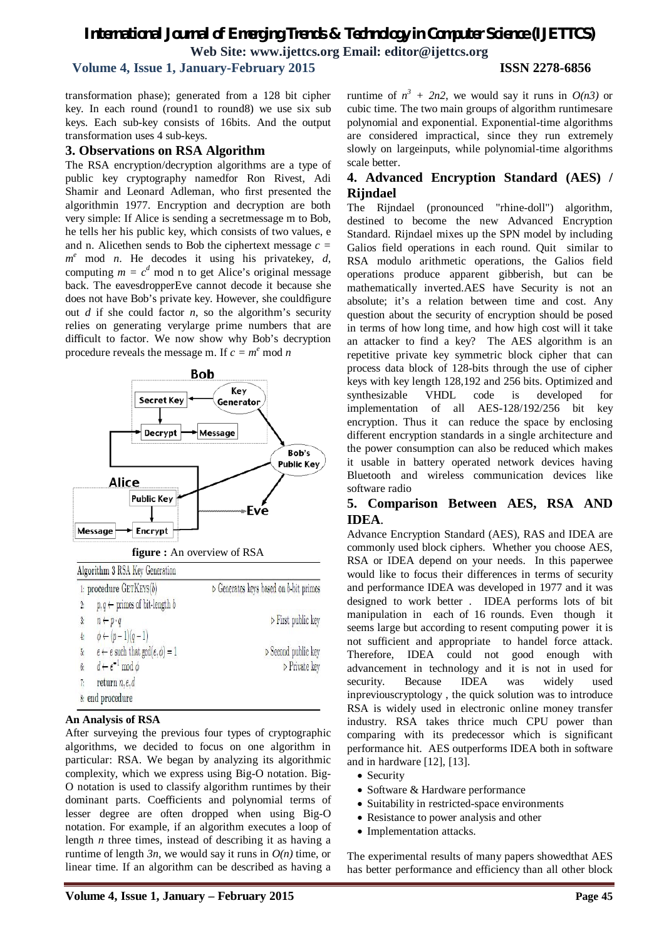# *International Journal of Emerging Trends & Technology in Computer Science (IJETTCS)* **Web Site: www.ijettcs.org Email: editor@ijettcs.org**

# **Volume 4, Issue 1, January-February 2015 ISSN 2278-6856**

transformation phase); generated from a 128 bit cipher key. In each round (round1 to round8) we use six sub keys. Each sub-key consists of 16bits. And the output transformation uses 4 sub-keys.

#### **3. Observations on RSA Algorithm**

The RSA encryption/decryption algorithms are a type of public key cryptography namedfor Ron Rivest, Adi Shamir and Leonard Adleman, who first presented the algorithmin 1977. Encryption and decryption are both very simple: If Alice is sending a secretmessage m to Bob, he tells her his public key, which consists of two values, e and n. Alicethen sends to Bob the ciphertext message *c = m <sup>e</sup>* mod *n*. He decodes it using his privatekey, *d,* computing  $m = c^d$  mod n to get Alice's original message back. The eavesdropperEve cannot decode it because she does not have Bob's private key. However, she couldfigure out *d* if she could factor *n*, so the algorithm's security relies on generating verylarge prime numbers that are difficult to factor. We now show why Bob's decryption procedure reveals the message m. If  $c = m^e \mod n$ 



#### **An Analysis of RSA**

After surveying the previous four types of cryptographic algorithms, we decided to focus on one algorithm in particular: RSA. We began by analyzing its algorithmic complexity, which we express using Big-O notation. Big-O notation is used to classify algorithm runtimes by their dominant parts. Coefficients and polynomial terms of lesser degree are often dropped when using Big-O notation. For example, if an algorithm executes a loop of length *n* three times, instead of describing it as having a runtime of length  $3n$ , we would say it runs in  $O(n)$  time, or linear time. If an algorithm can be described as having a

runtime of  $n^3 + 2n^2$ , we would say it runs in  $O(n^3)$  or cubic time. The two main groups of algorithm runtimesare polynomial and exponential. Exponential-time algorithms are considered impractical, since they run extremely slowly on largeinputs, while polynomial-time algorithms scale better.

# **4. Advanced Encryption Standard (AES) / Rijndael**

The Rijndael (pronounced "rhine-doll") algorithm, destined to become the new Advanced Encryption Standard. Rijndael mixes up the SPN model by including Galios field operations in each round. Quit similar to RSA modulo arithmetic operations, the Galios field operations produce apparent gibberish, but can be mathematically inverted.AES have Security is not an absolute; it's a relation between time and cost. Any question about the security of encryption should be posed in terms of how long time, and how high cost will it take an attacker to find a key? The AES algorithm is an repetitive private key symmetric block cipher that can process data block of 128-bits through the use of cipher keys with key length 128,192 and 256 bits. Optimized and synthesizable VHDL code is developed for implementation of all AES-128/192/256 bit key encryption. Thus it can reduce the space by enclosing different encryption standards in a single architecture and the power consumption can also be reduced which makes it usable in battery operated network devices having Bluetooth and wireless communication devices like software radio

# **5. Comparison Between AES, RSA AND IDEA**.

Advance Encryption Standard (AES), RAS and IDEA are commonly used block ciphers. Whether you choose AES, RSA or IDEA depend on your needs. In this paperwee would like to focus their differences in terms of security and performance IDEA was developed in 1977 and it was designed to work better . IDEA performs lots of bit manipulation in each of 16 rounds. Even though it seems large but according to resent computing power it is not sufficient and appropriate to handel force attack. Therefore, IDEA could not good enough with advancement in technology and it is not in used for security. Because IDEA was widely used inpreviouscryptology , the quick solution was to introduce RSA is widely used in electronic online money transfer industry. RSA takes thrice much CPU power than comparing with its predecessor which is significant performance hit. AES outperforms IDEA both in software and in hardware [12], [13].

- Security
- Software & Hardware performance
- Suitability in restricted-space environments
- Resistance to power analysis and other
- Implementation attacks.

The experimental results of many papers showedthat AES has better performance and efficiency than all other block